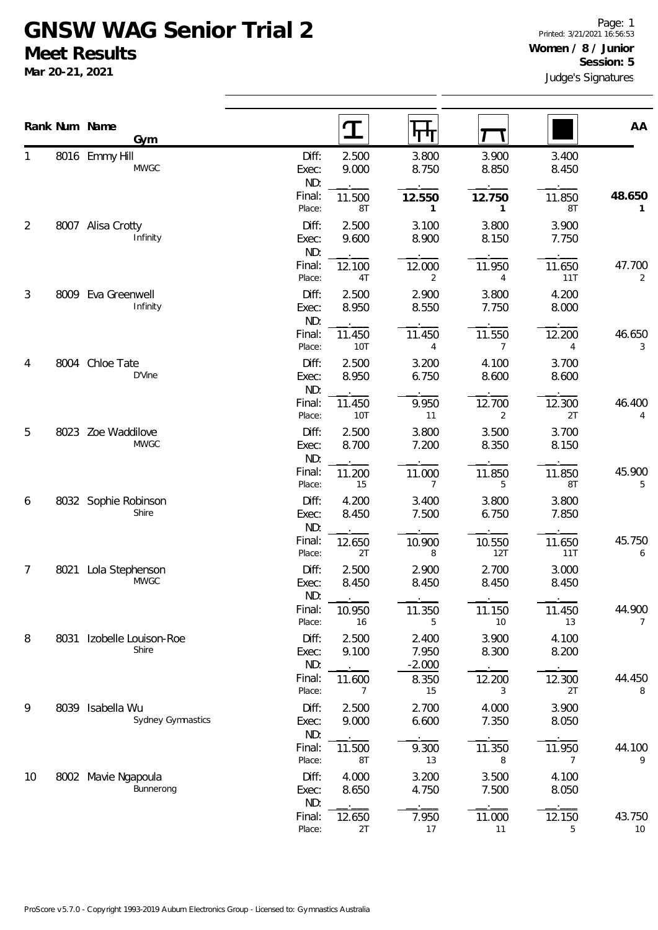## **GNSW WAG Senior Trial 2 Meet Results**

**Mar 20-21, 2021**

|                |      | Rank Num Name<br>Gym                    |                       | $\mathbf T$    | पा                         |                          |                          | AA           |
|----------------|------|-----------------------------------------|-----------------------|----------------|----------------------------|--------------------------|--------------------------|--------------|
| 1              |      | 8016 Emmy Hill<br><b>MWGC</b>           | Diff:<br>Exec:<br>ND: | 2.500<br>9.000 | 3.800<br>8.750             | 3.900<br>8.850           | 3.400<br>8.450           |              |
|                |      |                                         | Final:<br>Place:      | 11.500<br>8T   | 12.550<br>$\mathbf{1}$     | 12.750<br>$\mathbf{1}$   | 11.850<br>8T             | 48.650<br>1  |
| $\overline{2}$ |      | 8007 Alisa Crotty<br>Infinity           | Diff:<br>Exec:<br>ND: | 2.500<br>9.600 | 3.100<br>8.900             | 3.800<br>8.150           | 3.900<br>7.750           |              |
|                |      |                                         | Final:<br>Place:      | 12.100<br>4T   | 12.000<br>2                | 11.950<br>4              | 11.650<br>11T            | 47.700<br>2  |
| 3              |      | 8009 Eva Greenwell<br>Infinity          | Diff:<br>Exec:<br>ND: | 2.500<br>8.950 | 2.900<br>8.550             | 3.800<br>7.750           | 4.200<br>8.000           |              |
|                |      |                                         | Final:<br>Place:      | 11.450<br>10T  | 11.450<br>$\overline{4}$   | 11.550<br>$\overline{7}$ | 12.200<br>$\overline{4}$ | 46.650<br>3  |
| 4              |      | 8004 Chloe Tate<br>D'Vine               | Diff:<br>Exec:<br>ND: | 2.500<br>8.950 | 3.200<br>6.750             | 4.100<br>8.600           | 3.700<br>8.600           |              |
|                |      |                                         | Final:<br>Place:      | 11.450<br>10T  | 9.950<br>11                | 12.700<br>$\overline{2}$ | 12.300<br>2T             | 46.400<br>4  |
| 5              | 8023 | Zoe Waddilove<br><b>MWGC</b>            | Diff:<br>Exec:<br>ND: | 2.500<br>8.700 | 3.800<br>7.200             | 3.500<br>8.350           | 3.700<br>8.150           |              |
|                |      |                                         | Final:<br>Place:      | 11.200<br>15   | 11.000<br>$\overline{7}$   | 11.850<br>5              | 11.850<br>8T             | 45.900<br>5  |
| 6              |      | 8032 Sophie Robinson<br>Shire           | Diff:<br>Exec:<br>ND: | 4.200<br>8.450 | 3.400<br>7.500             | 3.800<br>6.750           | 3.800<br>7.850           |              |
|                |      |                                         | Final:<br>Place:      | 12.650<br>2T   | 10.900<br>8                | 10.550<br>12T            | 11.650<br>11T            | 45.750<br>6  |
| 7              | 8021 | Lola Stephenson<br><b>MWGC</b>          | Diff:<br>Exec:<br>ND: | 2.500<br>8.450 | 2.900<br>8.450             | 2.700<br>8.450           | 3.000<br>8.450           |              |
|                |      |                                         | Final:<br>Place:      | 10.950<br>16   | 11.350<br>5                | 11.150<br>10             | 11.450<br>13             | 44.900<br>7  |
| 8              | 8031 | Izobelle Louison-Roe<br>Shire           | Diff:<br>Exec:<br>ND: | 2.500<br>9.100 | 2.400<br>7.950<br>$-2.000$ | 3.900<br>8.300           | 4.100<br>8.200           |              |
|                |      |                                         | Final:<br>Place:      | 11.600<br>7    | 8.350<br>15                | 12.200<br>3              | 12.300<br>2T             | 44.450<br>8  |
| 9              | 8039 | Isabella Wu<br><b>Sydney Gymnastics</b> | Diff:<br>Exec:<br>ND: | 2.500<br>9.000 | 2.700<br>6.600             | 4.000<br>7.350           | 3.900<br>8.050           |              |
|                |      |                                         | Final:<br>Place:      | 11.500<br>8T   | 9.300<br>13                | 11.350<br>8              | 11.950<br>7              | 44.100<br>9  |
| 10             |      | 8002 Mavie Ngapoula<br>Bunnerong        | Diff:<br>Exec:<br>ND: | 4.000<br>8.650 | 3.200<br>4.750             | 3.500<br>7.500           | 4.100<br>8.050           |              |
|                |      |                                         | Final:<br>Place:      | 12.650<br>2T   | 7.950<br>17                | 11.000<br>11             | 12.150<br>5              | 43.750<br>10 |